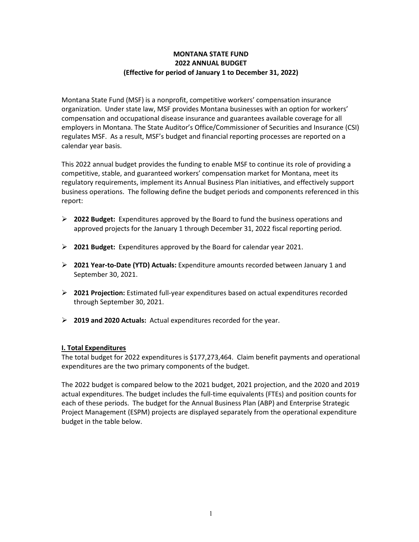# **MONTANA STATE FUND 2022 ANNUAL BUDGET (Effective for period of January 1 to December 31, 2022)**

Montana State Fund (MSF) is a nonprofit, competitive workers' compensation insurance organization. Under state law, MSF provides Montana businesses with an option for workers' compensation and occupational disease insurance and guarantees available coverage for all employers in Montana. The State Auditor's Office/Commissioner of Securities and Insurance (CSI) regulates MSF. As a result, MSF's budget and financial reporting processes are reported on a calendar year basis.

This 2022 annual budget provides the funding to enable MSF to continue its role of providing a competitive, stable, and guaranteed workers' compensation market for Montana, meet its regulatory requirements, implement its Annual Business Plan initiatives, and effectively support business operations. The following define the budget periods and components referenced in this report:

- **2022 Budget:** Expenditures approved by the Board to fund the business operations and approved projects for the January 1 through December 31, 2022 fiscal reporting period.
- **2021 Budget:** Expenditures approved by the Board for calendar year 2021.
- **2021 Year-to-Date (YTD) Actuals:** Expenditure amounts recorded between January 1 and September 30, 2021.
- **2021 Projection:** Estimated full-year expenditures based on actual expenditures recorded through September 30, 2021.
- **2019 and 2020 Actuals:** Actual expenditures recorded for the year.

### **I. Total Expenditures**

The total budget for 2022 expenditures is \$177,273,464. Claim benefit payments and operational expenditures are the two primary components of the budget.

The 2022 budget is compared below to the 2021 budget, 2021 projection, and the 2020 and 2019 actual expenditures. The budget includes the full-time equivalents (FTEs) and position counts for each of these periods. The budget for the Annual Business Plan (ABP) and Enterprise Strategic Project Management (ESPM) projects are displayed separately from the operational expenditure budget in the table below.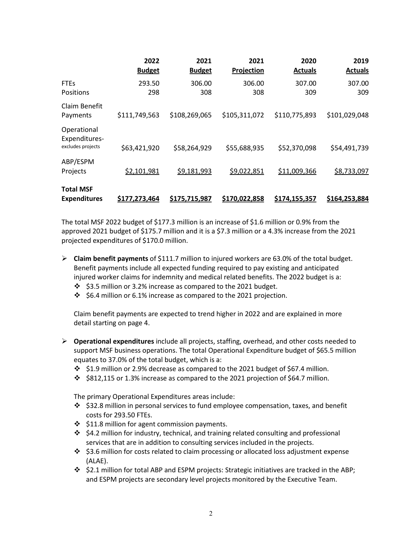|                                                   | 2022<br><b>Budget</b> | 2021<br><b>Budget</b> | 2021<br>Projection | 2020<br><b>Actuals</b> | 2019<br><b>Actuals</b> |
|---------------------------------------------------|-----------------------|-----------------------|--------------------|------------------------|------------------------|
| <b>FTEs</b><br>Positions                          | 293.50<br>298         | 306.00<br>308         | 306.00<br>308      | 307.00<br>309          | 307.00<br>309          |
| Claim Benefit<br>Payments                         | \$111,749,563         | \$108,269,065         | \$105,311,072      | \$110,775,893          | \$101,029,048          |
| Operational<br>Expenditures-<br>excludes projects | \$63,421,920          | \$58,264,929          | \$55,688,935       | \$52,370,098           | \$54,491,739           |
| ABP/ESPM<br>Projects                              | \$2,101,981           | \$9,181,993           | \$9,022,851        | \$11,009,366           | \$8,733,097            |
| <b>Total MSF</b><br><b>Expenditures</b>           | \$177,273,464         | \$175,715,987         | \$170,022,858      | \$174,155,357          | \$164,253,884          |

The total MSF 2022 budget of \$177.3 million is an increase of \$1.6 million or 0.9% from the approved 2021 budget of \$175.7 million and it is a \$7.3 million or a 4.3% increase from the 2021 projected expenditures of \$170.0 million.

- **Claim benefit payments** of \$111.7 million to injured workers are 63.0% of the total budget. Benefit payments include all expected funding required to pay existing and anticipated injured worker claims for indemnity and medical related benefits. The 2022 budget is a:
	- \$3.5 million or 3.2% increase as compared to the 2021 budget.
	- $\div$  \$6.4 million or 6.1% increase as compared to the 2021 projection.

Claim benefit payments are expected to trend higher in 2022 and are explained in more detail starting on page 4.

- **Operational expenditures** include all projects, staffing, overhead, and other costs needed to support MSF business operations. The total Operational Expenditure budget of \$65.5 million equates to 37.0% of the total budget, which is a:
	- \$1.9 million or 2.9% decrease as compared to the 2021 budget of \$67.4 million.
	- \$812,115 or 1.3% increase as compared to the 2021 projection of \$64.7 million.

The primary Operational Expenditures areas include:

- $\div$  \$32.8 million in personal services to fund employee compensation, taxes, and benefit costs for 293.50 FTEs.
- $\div$  \$11.8 million for agent commission payments.
- \$4.2 million for industry, technical, and training related consulting and professional services that are in addition to consulting services included in the projects.
- \$3.6 million for costs related to claim processing or allocated loss adjustment expense (ALAE).
- \$2.1 million for total ABP and ESPM projects: Strategic initiatives are tracked in the ABP; and ESPM projects are secondary level projects monitored by the Executive Team.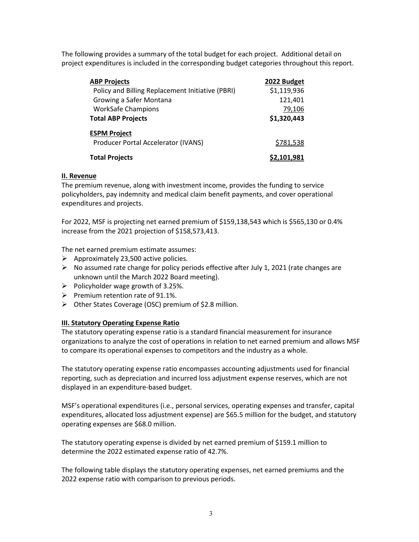The following provides a summary of the total budget for each project. Additional detail on project expenditures is included in the corresponding budget categories throughout this report.

| <b>ABP Projects</b>                              | 2022 Budget |
|--------------------------------------------------|-------------|
| Policy and Billing Replacement Initiative (PBRI) | \$1,119,936 |
| Growing a Safer Montana                          | 121,401     |
| <b>WorkSafe Champions</b>                        | 79,106      |
| <b>Total ABP Projects</b>                        | \$1,320,443 |
| <b>ESPM Project</b>                              |             |
| Producer Portal Accelerator (IVANS)              | \$781,538   |
| <b>Total Projects</b>                            |             |

#### **II. Revenue**

The premium revenue, along with investment income, provides the funding to service policyholders, pay indemnity and medical claim benefit payments, and cover operational expenditures and projects.

For 2022, MSF is projecting net earned premium of \$159,138,543 which is \$565,130 or 0.4% increase from the 2021 projection of \$158,573,413.

The net earned premium estimate assumes:

- $\triangleright$  Approximately 23,500 active policies.
- $\triangleright$  No assumed rate change for policy periods effective after July 1, 2021 (rate changes are unknown until the March 2022 Board meeting).
- $\triangleright$  Policyholder wage growth of 3.25%.
- $\triangleright$  Premium retention rate of 91.1%.
- Other States Coverage (OSC) premium of \$2.8 million.

#### **III. Statutory Operating Expense Ratio**

The statutory operating expense ratio is a standard financial measurement for insurance organizations to analyze the cost of operations in relation to net earned premium and allows MSF to compare its operational expenses to competitors and the industry as a whole.

The statutory operating expense ratio encompasses accounting adjustments used for financial reporting, such as depreciation and incurred loss adjustment expense reserves, which are not displayed in an expenditure-based budget.

MSF's operational expenditures (i.e., personal services, operating expenses and transfer, capital expenditures, allocated loss adjustment expense) are \$65.5 million for the budget, and statutory operating expenses are \$68.0 million.

The statutory operating expense is divided by net earned premium of \$159.1 million to determine the 2022 estimated expense ratio of 42.7%.

The following table displays the statutory operating expenses, net earned premiums and the 2022 expense ratio with comparison to previous periods.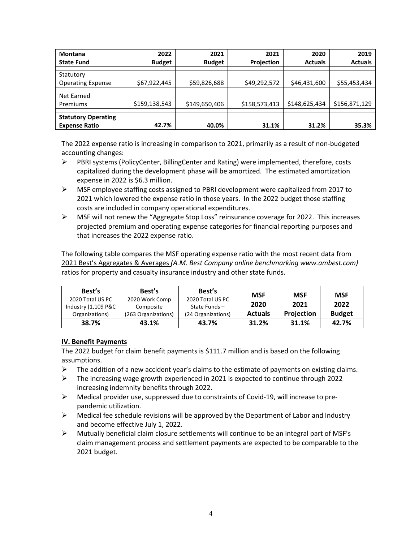| <b>Montana</b><br><b>State Fund</b>                | 2022<br><b>Budget</b> | 2021<br><b>Budget</b> | 2021<br>Projection | 2020<br><b>Actuals</b> | 2019<br><b>Actuals</b> |
|----------------------------------------------------|-----------------------|-----------------------|--------------------|------------------------|------------------------|
| Statutory<br><b>Operating Expense</b>              | \$67,922,445          | \$59,826,688          | \$49,292,572       | \$46,431,600           | \$55,453,434           |
| Net Earned<br>Premiums                             | \$159,138,543         | \$149,650,406         | \$158,573,413      | \$148,625,434          | \$156,871,129          |
| <b>Statutory Operating</b><br><b>Expense Ratio</b> | 42.7%                 | 40.0%                 | 31.1%              | 31.2%                  | 35.3%                  |

The 2022 expense ratio is increasing in comparison to 2021, primarily as a result of non-budgeted accounting changes:

- $\triangleright$  PBRI systems (PolicyCenter, BillingCenter and Rating) were implemented, therefore, costs capitalized during the development phase will be amortized. The estimated amortization expense in 2022 is \$6.3 million.
- $\triangleright$  MSF employee staffing costs assigned to PBRI development were capitalized from 2017 to 2021 which lowered the expense ratio in those years. In the 2022 budget those staffing costs are included in company operational expenditures.
- MSF will not renew the "Aggregate Stop Loss" reinsurance coverage for 2022. This increases projected premium and operating expense categories for financial reporting purposes and that increases the 2022 expense ratio.

The following table compares the MSF operating expense ratio with the most recent data from 2021 Best's Aggregates & Averages *(A.M. Best Company online benchmarking www.ambest.com)* ratios for property and casualty insurance industry and other state funds.

| Best's              | Best's              | Best's             | <b>MSF</b>     | <b>MSF</b> | <b>MSF</b>    |
|---------------------|---------------------|--------------------|----------------|------------|---------------|
| 2020 Total US PC    | 2020 Work Comp      | 2020 Total US PC   |                |            |               |
| Industry (1,109 P&C | Composite           | State Funds $-$    | 2020           | 2021       | 2022          |
| Organizations)      | (263 Organizations) | (24 Organizations) | <b>Actuals</b> | Projection | <b>Budget</b> |
| 38.7%               | 43.1%               | 43.7%              | 31.2%          | 31.1%      | 42.7%         |

# **IV. Benefit Payments**

The 2022 budget for claim benefit payments is \$111.7 million and is based on the following assumptions.

- $\triangleright$  The addition of a new accident year's claims to the estimate of payments on existing claims.
- $\triangleright$  The increasing wage growth experienced in 2021 is expected to continue through 2022 increasing indemnity benefits through 2022.
- $\triangleright$  Medical provider use, suppressed due to constraints of Covid-19, will increase to prepandemic utilization.
- $\triangleright$  Medical fee schedule revisions will be approved by the Department of Labor and Industry and become effective July 1, 2022.
- $\triangleright$  Mutually beneficial claim closure settlements will continue to be an integral part of MSF's claim management process and settlement payments are expected to be comparable to the 2021 budget.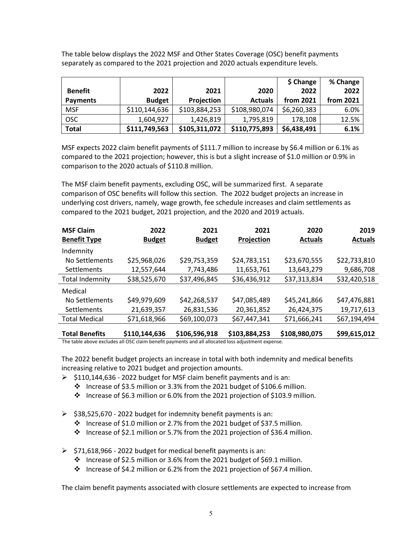The table below displays the 2022 MSF and Other States Coverage (OSC) benefit payments separately as compared to the 2021 projection and 2020 actuals expenditure levels.

|                 |               |               |                | \$ Change   | % Change  |
|-----------------|---------------|---------------|----------------|-------------|-----------|
| <b>Benefit</b>  | 2022          | 2021          | 2020           | 2022        | 2022      |
| <b>Payments</b> | <b>Budget</b> | Projection    | <b>Actuals</b> | from 2021   | from 2021 |
| <b>MSF</b>      | \$110,144,636 | \$103,884,253 | \$108,980,074  | \$6,260,383 | 6.0%      |
| <b>OSC</b>      | 1,604,927     | 1,426,819     | 1,795,819      | 178.108     | 12.5%     |
| <b>Total</b>    | \$111,749,563 | \$105,311,072 | \$110,775,893  | \$6,438,491 | 6.1%      |

MSF expects 2022 claim benefit payments of \$111.7 million to increase by \$6.4 million or 6.1% as compared to the 2021 projection; however, this is but a slight increase of \$1.0 million or 0.9% in comparison to the 2020 actuals of \$110.8 million.

The MSF claim benefit payments, excluding OSC, will be summarized first. A separate comparison of OSC benefits will follow this section. The 2022 budget projects an increase in underlying cost drivers, namely, wage growth, fee schedule increases and claim settlements as compared to the 2021 budget, 2021 projection, and the 2020 and 2019 actuals.

| <b>MSF Claim</b>       | 2022          | 2021          | 2021          | 2020           | 2019           |
|------------------------|---------------|---------------|---------------|----------------|----------------|
| <b>Benefit Type</b>    | <b>Budget</b> | <b>Budget</b> | Projection    | <b>Actuals</b> | <b>Actuals</b> |
| Indemnity              |               |               |               |                |                |
| No Settlements         | \$25,968,026  | \$29,753,359  | \$24,783,151  | \$23,670,555   | \$22,733,810   |
| <b>Settlements</b>     | 12,557,644    | 7,743,486     | 11,653,761    | 13,643,279     | 9,686,708      |
| <b>Total Indemnity</b> | \$38,525,670  | \$37,496,845  | \$36,436,912  | \$37,313,834   | \$32,420,518   |
| Medical                |               |               |               |                |                |
| No Settlements         | \$49,979,609  | \$42,268,537  | \$47,085,489  | \$45,241,866   | \$47,476,881   |
| Settlements            | 21,639,357    | 26,831,536    | 20,361,852    | 26,424,375     | 19,717,613     |
| <b>Total Medical</b>   | \$71,618,966  | \$69,100,073  | \$67,447,341  | \$71,666,241   | \$67,194,494   |
| <b>Total Benefits</b>  | \$110,144,636 | \$106,596,918 | \$103,884,253 | \$108,980,075  | \$99,615,012   |

The table above excludes all OSC claim benefit payments and all allocated loss adjustment expense.

The 2022 benefit budget projects an increase in total with both indemnity and medical benefits increasing relative to 2021 budget and projection amounts.

- $\geq$  \$110,144,636 2022 budget for MSF claim benefit payments and is an:
	- $\cdot \cdot$  Increase of \$3.5 million or 3.3% from the 2021 budget of \$106.6 million.
	- $\cdot \cdot$  Increase of \$6.3 million or 6.0% from the 2021 projection of \$103.9 million.
- $\geq$  \$38,525,670 2022 budget for indemnity benefit payments is an:
	- Increase of \$1.0 million or 2.7% from the 2021 budget of \$37.5 million.
	- Increase of \$2.1 million or 5.7% from the 2021 projection of \$36.4 million.

 $\geq$  \$71,618,966 - 2022 budget for medical benefit payments is an:

- Increase of \$2.5 million or 3.6% from the 2021 budget of \$69.1 million.
- $\cdot \cdot$  Increase of \$4.2 million or 6.2% from the 2021 projection of \$67.4 million.

The claim benefit payments associated with closure settlements are expected to increase from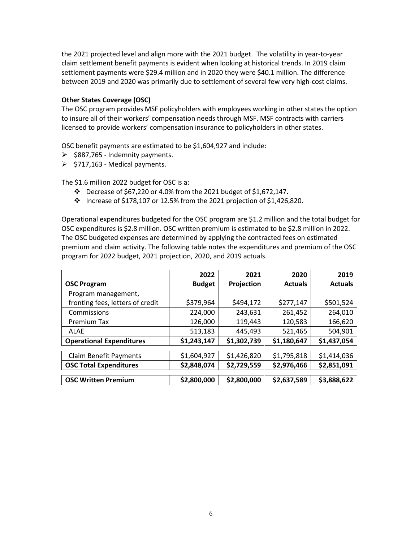the 2021 projected level and align more with the 2021 budget. The volatility in year-to-year claim settlement benefit payments is evident when looking at historical trends. In 2019 claim settlement payments were \$29.4 million and in 2020 they were \$40.1 million. The difference between 2019 and 2020 was primarily due to settlement of several few very high-cost claims.

### **Other States Coverage (OSC)**

The OSC program provides MSF policyholders with employees working in other states the option to insure all of their workers' compensation needs through MSF. MSF contracts with carriers licensed to provide workers' compensation insurance to policyholders in other states.

OSC benefit payments are estimated to be \$1,604,927 and include:

- $\geq$  \$887,765 Indemnity payments.
- $\triangleright$  \$717,163 Medical payments.

The \$1.6 million 2022 budget for OSC is a:

- $\cdot \cdot$  Decrease of \$67,220 or 4.0% from the 2021 budget of \$1,672,147.
- $\cdot \cdot$  Increase of \$178,107 or 12.5% from the 2021 projection of \$1,426,820.

Operational expenditures budgeted for the OSC program are \$1.2 million and the total budget for OSC expenditures is \$2.8 million. OSC written premium is estimated to be \$2.8 million in 2022. The OSC budgeted expenses are determined by applying the contracted fees on estimated premium and claim activity. The following table notes the expenditures and premium of the OSC program for 2022 budget, 2021 projection, 2020, and 2019 actuals.

|                                  | 2022          | 2021        | 2020           | 2019           |
|----------------------------------|---------------|-------------|----------------|----------------|
| <b>OSC Program</b>               | <b>Budget</b> | Projection  | <b>Actuals</b> | <b>Actuals</b> |
| Program management,              |               |             |                |                |
| fronting fees, letters of credit | \$379,964     | \$494,172   | \$277,147      | \$501,524      |
| Commissions                      | 224,000       | 243,631     | 261,452        | 264,010        |
| Premium Tax                      | 126,000       | 119,443     | 120,583        | 166,620        |
| <b>ALAE</b>                      | 513,183       | 445,493     | 521,465        | 504,901        |
| <b>Operational Expenditures</b>  | \$1,243,147   | \$1,302,739 | \$1,180,647    | \$1,437,054    |
|                                  |               |             |                |                |
| <b>Claim Benefit Payments</b>    | \$1,604,927   | \$1,426,820 | \$1,795,818    | \$1,414,036    |
| <b>OSC Total Expenditures</b>    | \$2,848,074   | \$2,729,559 | \$2,976,466    | \$2,851,091    |
|                                  |               |             |                |                |
| <b>OSC Written Premium</b>       | \$2,800,000   | \$2,800,000 | \$2,637,589    | \$3,888,622    |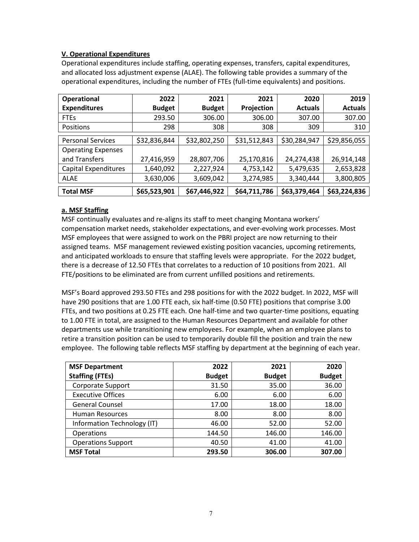# **V. Operational Expenditures**

Operational expenditures include staffing, operating expenses, transfers, capital expenditures, and allocated loss adjustment expense (ALAE). The following table provides a summary of the operational expenditures, including the number of FTEs (full-time equivalents) and positions.

| <b>Operational</b>        | 2022          | 2021          | 2021         | 2020           | 2019           |
|---------------------------|---------------|---------------|--------------|----------------|----------------|
| <b>Expenditures</b>       | <b>Budget</b> | <b>Budget</b> | Projection   | <b>Actuals</b> | <b>Actuals</b> |
| <b>FTEs</b>               | 293.50        | 306.00        | 306.00       | 307.00         | 307.00         |
| Positions                 | 298           | 308           | 308          | 309            | 310            |
| <b>Personal Services</b>  | \$32,836,844  | \$32,802,250  | \$31,512,843 | \$30,284,947   | \$29,856,055   |
| <b>Operating Expenses</b> |               |               |              |                |                |
| and Transfers             | 27,416,959    | 28,807,706    | 25,170,816   | 24,274,438     | 26,914,148     |
| Capital Expenditures      | 1,640,092     | 2,227,924     | 4,753,142    | 5,479,635      | 2,653,828      |
| <b>ALAE</b>               | 3,630,006     | 3,609,042     | 3,274,985    | 3,340,444      | 3,800,805      |
| <b>Total MSF</b>          | \$65,523,901  | \$67,446,922  | \$64,711,786 | \$63,379,464   | \$63,224,836   |

# **a. MSF Staffing**

MSF continually evaluates and re-aligns its staff to meet changing Montana workers' compensation market needs, stakeholder expectations, and ever-evolving work processes. Most MSF employees that were assigned to work on the PBRI project are now returning to their assigned teams. MSF management reviewed existing position vacancies, upcoming retirements, and anticipated workloads to ensure that staffing levels were appropriate. For the 2022 budget, there is a decrease of 12.50 FTEs that correlates to a reduction of 10 positions from 2021. All FTE/positions to be eliminated are from current unfilled positions and retirements.

MSF's Board approved 293.50 FTEs and 298 positions for with the 2022 budget. In 2022, MSF will have 290 positions that are 1.00 FTE each, six half-time (0.50 FTE) positions that comprise 3.00 FTEs, and two positions at 0.25 FTE each. One half-time and two quarter-time positions, equating to 1.00 FTE in total, are assigned to the Human Resources Department and available for other departments use while transitioning new employees. For example, when an employee plans to retire a transition position can be used to temporarily double fill the position and train the new employee. The following table reflects MSF staffing by department at the beginning of each year.

| <b>MSF Department</b>       | 2022          | 2021          | 2020          |
|-----------------------------|---------------|---------------|---------------|
| <b>Staffing (FTEs)</b>      | <b>Budget</b> | <b>Budget</b> | <b>Budget</b> |
| Corporate Support           | 31.50         | 35.00         | 36.00         |
| <b>Executive Offices</b>    | 6.00          | 6.00          | 6.00          |
| <b>General Counsel</b>      | 17.00         | 18.00         | 18.00         |
| <b>Human Resources</b>      | 8.00          | 8.00          | 8.00          |
| Information Technology (IT) | 46.00         | 52.00         | 52.00         |
| Operations                  | 144.50        | 146.00        | 146.00        |
| <b>Operations Support</b>   | 40.50         | 41.00         | 41.00         |
| <b>MSF Total</b>            | 293.50        | 306.00        | 307.00        |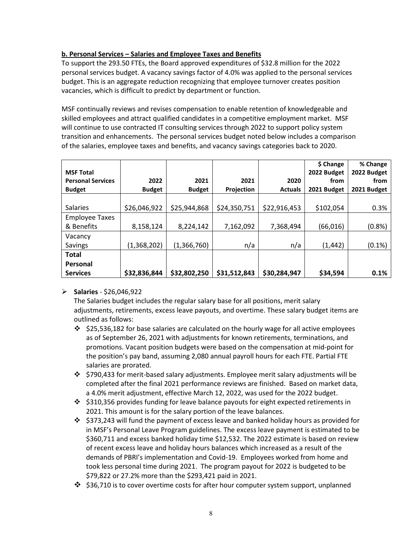# **b. Personal Services – Salaries and Employee Taxes and Benefits**

To support the 293.50 FTEs, the Board approved expenditures of \$32.8 million for the 2022 personal services budget. A vacancy savings factor of 4.0% was applied to the personal services budget. This is an aggregate reduction recognizing that employee turnover creates position vacancies, which is difficult to predict by department or function.

MSF continually reviews and revises compensation to enable retention of knowledgeable and skilled employees and attract qualified candidates in a competitive employment market. MSF will continue to use contracted IT consulting services through 2022 to support policy system transition and enhancements. The personal services budget noted below includes a comparison of the salaries, employee taxes and benefits, and vacancy savings categories back to 2020.

| <b>MSF Total</b>         |               |               |              |                | \$ Change<br>2022 Budget | % Change<br>2022 Budget |
|--------------------------|---------------|---------------|--------------|----------------|--------------------------|-------------------------|
| <b>Personal Services</b> | 2022          | 2021          | 2021         | 2020           | from                     | from                    |
| <b>Budget</b>            | <b>Budget</b> | <b>Budget</b> | Projection   | <b>Actuals</b> | 2021 Budget              | 2021 Budget             |
|                          |               |               |              |                |                          |                         |
| <b>Salaries</b>          | \$26,046,922  | \$25,944,868  | \$24,350,751 | \$22,916,453   | \$102,054                | 0.3%                    |
| <b>Employee Taxes</b>    |               |               |              |                |                          |                         |
| & Benefits               | 8,158,124     | 8,224,142     | 7,162,092    | 7,368,494      | (66,016)                 | (0.8% )                 |
| Vacancy                  |               |               |              |                |                          |                         |
| Savings                  | (1,368,202)   | (1,366,760)   | n/a          | n/a            | (1, 442)                 | $(0.1\%)$               |
| <b>Total</b>             |               |               |              |                |                          |                         |
| Personal                 |               |               |              |                |                          |                         |
| <b>Services</b>          | \$32,836,844  | \$32,802,250  | \$31,512,843 | \$30,284,947   | \$34,594                 | 0.1%                    |

### **Salaries** - \$26,046,922

The Salaries budget includes the regular salary base for all positions, merit salary adjustments, retirements, excess leave payouts, and overtime. These salary budget items are outlined as follows:

- $\div$  \$25,536,182 for base salaries are calculated on the hourly wage for all active employees as of September 26, 2021 with adjustments for known retirements, terminations, and promotions. Vacant position budgets were based on the compensation at mid-point for the position's pay band, assuming 2,080 annual payroll hours for each FTE. Partial FTE salaries are prorated.
- $\div$  \$790,433 for merit-based salary adjustments. Employee merit salary adjustments will be completed after the final 2021 performance reviews are finished. Based on market data, a 4.0% merit adjustment, effective March 12, 2022, was used for the 2022 budget.
- $\div$  \$310,356 provides funding for leave balance payouts for eight expected retirements in 2021. This amount is for the salary portion of the leave balances.
- $\div$  \$373,243 will fund the payment of excess leave and banked holiday hours as provided for in MSF's Personal Leave Program guidelines. The excess leave payment is estimated to be \$360,711 and excess banked holiday time \$12,532. The 2022 estimate is based on review of recent excess leave and holiday hours balances which increased as a result of the demands of PBRI's implementation and Covid-19. Employees worked from home and took less personal time during 2021. The program payout for 2022 is budgeted to be \$79,822 or 27.2% more than the \$293,421 paid in 2021.
- ❖ \$36,710 is to cover overtime costs for after hour computer system support, unplanned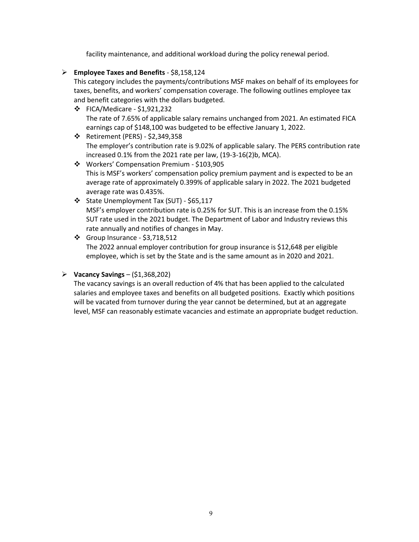facility maintenance, and additional workload during the policy renewal period.

**Employee Taxes and Benefits** - \$8,158,124

This category includes the payments/contributions MSF makes on behalf of its employees for taxes, benefits, and workers' compensation coverage. The following outlines employee tax and benefit categories with the dollars budgeted.

- FICA/Medicare \$1,921,232 The rate of 7.65% of applicable salary remains unchanged from 2021. An estimated FICA earnings cap of \$148,100 was budgeted to be effective January 1, 2022.
- Retirement (PERS) \$2,349,358 The employer's contribution rate is 9.02% of applicable salary. The PERS contribution rate increased 0.1% from the 2021 rate per law, (19-3-16(2)b, MCA).
- Workers' Compensation Premium \$103,905 This is MSF's workers' compensation policy premium payment and is expected to be an average rate of approximately 0.399% of applicable salary in 2022. The 2021 budgeted average rate was 0.435%.
- State Unemployment Tax (SUT) \$65,117 MSF's employer contribution rate is 0.25% for SUT. This is an increase from the 0.15% SUT rate used in the 2021 budget. The Department of Labor and Industry reviews this rate annually and notifies of changes in May.
- $\div$  Group Insurance \$3,718,512 The 2022 annual employer contribution for group insurance is \$12,648 per eligible employee, which is set by the State and is the same amount as in 2020 and 2021.
- **Vacancy Savings** (\$1,368,202)

The vacancy savings is an overall reduction of 4% that has been applied to the calculated salaries and employee taxes and benefits on all budgeted positions. Exactly which positions will be vacated from turnover during the year cannot be determined, but at an aggregate level, MSF can reasonably estimate vacancies and estimate an appropriate budget reduction.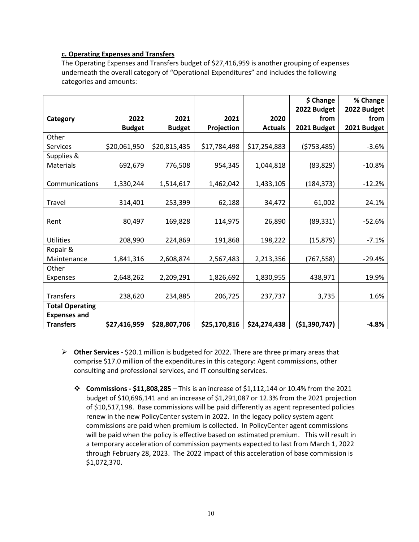### **c. Operating Expenses and Transfers**

The Operating Expenses and Transfers budget of \$27,416,959 is another grouping of expenses underneath the overall category of "Operational Expenditures" and includes the following categories and amounts:

|                         |               |               |              |                | \$ Change           | % Change            |
|-------------------------|---------------|---------------|--------------|----------------|---------------------|---------------------|
| Category                | 2022          | 2021          | 2021         | 2020           | 2022 Budget<br>from | 2022 Budget<br>from |
|                         | <b>Budget</b> | <b>Budget</b> | Projection   | <b>Actuals</b> | 2021 Budget         | 2021 Budget         |
| Other                   |               |               |              |                |                     |                     |
| Services                | \$20,061,950  | \$20,815,435  | \$17,784,498 | \$17,254,883   | (5753, 485)         | $-3.6%$             |
| Supplies &              |               |               |              |                |                     |                     |
| Materials               | 692,679       | 776,508       | 954,345      | 1,044,818      | (83, 829)           | $-10.8%$            |
| Communications          | 1,330,244     | 1,514,617     | 1,462,042    | 1,433,105      | (184, 373)          | $-12.2%$            |
|                         |               |               |              |                |                     |                     |
| Travel                  | 314,401       | 253,399       | 62,188       | 34,472         | 61,002              | 24.1%               |
| Rent                    | 80,497        | 169,828       | 114,975      | 26,890         | (89, 331)           | $-52.6%$            |
|                         |               |               |              |                |                     |                     |
| <b>Utilities</b>        | 208,990       | 224,869       | 191,868      | 198,222        | (15, 879)           | $-7.1%$             |
| Repair &<br>Maintenance | 1,841,316     | 2,608,874     | 2,567,483    | 2,213,356      | (767, 558)          | $-29.4%$            |
| Other                   |               |               |              |                |                     |                     |
| Expenses                | 2,648,262     | 2,209,291     | 1,826,692    | 1,830,955      | 438,971             | 19.9%               |
|                         |               |               |              |                |                     |                     |
| <b>Transfers</b>        | 238,620       | 234,885       | 206,725      | 237,737        | 3,735               | 1.6%                |
| <b>Total Operating</b>  |               |               |              |                |                     |                     |
| <b>Expenses and</b>     |               |               |              |                |                     |                     |
| <b>Transfers</b>        | \$27,416,959  | \$28,807,706  | \$25,170,816 | \$24,274,438   | (\$1,390,747)       | $-4.8%$             |

- **Other Services** \$20.1 million is budgeted for 2022. There are three primary areas that comprise \$17.0 million of the expenditures in this category: Agent commissions, other consulting and professional services, and IT consulting services.
	- **Commissions - \$11,808,285** This is an increase of \$1,112,144 or 10.4% from the 2021 budget of \$10,696,141 and an increase of \$1,291,087 or 12.3% from the 2021 projection of \$10,517,198. Base commissions will be paid differently as agent represented policies renew in the new PolicyCenter system in 2022. In the legacy policy system agent commissions are paid when premium is collected. In PolicyCenter agent commissions will be paid when the policy is effective based on estimated premium. This will result in a temporary acceleration of commission payments expected to last from March 1, 2022 through February 28, 2023. The 2022 impact of this acceleration of base commission is \$1,072,370.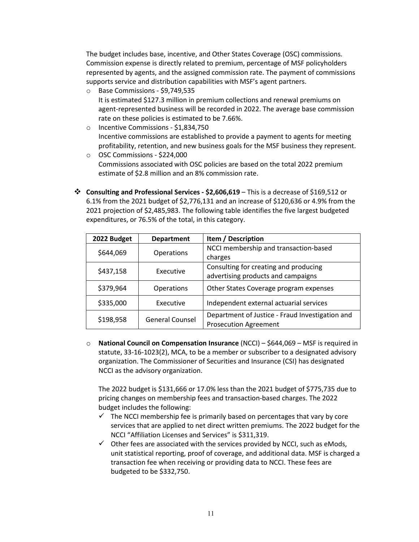The budget includes base, incentive, and Other States Coverage (OSC) commissions. Commission expense is directly related to premium, percentage of MSF policyholders represented by agents, and the assigned commission rate. The payment of commissions supports service and distribution capabilities with MSF's agent partners.

- o Base Commissions \$9,749,535 It is estimated \$127.3 million in premium collections and renewal premiums on agent-represented business will be recorded in 2022. The average base commission rate on these policies is estimated to be 7.66%.
- o Incentive Commissions \$1,834,750 Incentive commissions are established to provide a payment to agents for meeting profitability, retention, and new business goals for the MSF business they represent.
- o OSC Commissions \$224,000 Commissions associated with OSC policies are based on the total 2022 premium estimate of \$2.8 million and an 8% commission rate.
- **Consulting and Professional Services - \$2,606,619** This is a decrease of \$169,512 or 6.1% from the 2021 budget of \$2,776,131 and an increase of \$120,636 or 4.9% from the 2021 projection of \$2,485,983. The following table identifies the five largest budgeted expenditures, or 76.5% of the total, in this category.

| 2022 Budget | <b>Department</b>      | Item / Description                              |
|-------------|------------------------|-------------------------------------------------|
| \$644,069   | <b>Operations</b>      | NCCI membership and transaction-based           |
|             |                        | charges                                         |
| \$437,158   | Executive              | Consulting for creating and producing           |
|             |                        | advertising products and campaigns              |
| \$379,964   | <b>Operations</b>      | Other States Coverage program expenses          |
| \$335,000   | Executive              | Independent external actuarial services         |
| \$198,958   | <b>General Counsel</b> | Department of Justice - Fraud Investigation and |
|             |                        | <b>Prosecution Agreement</b>                    |

o **National Council on Compensation Insurance** (NCCI) – \$644,069 – MSF is required in statute, 33-16-1023(2), MCA, to be a member or subscriber to a designated advisory organization. The Commissioner of Securities and Insurance (CSI) has designated NCCI as the advisory organization.

The 2022 budget is \$131,666 or 17.0% less than the 2021 budget of \$775,735 due to pricing changes on membership fees and transaction-based charges. The 2022 budget includes the following:

- $\checkmark$  The NCCI membership fee is primarily based on percentages that vary by core services that are applied to net direct written premiums. The 2022 budget for the NCCI "Affiliation Licenses and Services" is \$311,319.
- $\checkmark$  Other fees are associated with the services provided by NCCI, such as eMods, unit statistical reporting, proof of coverage, and additional data. MSF is charged a transaction fee when receiving or providing data to NCCI. These fees are budgeted to be \$332,750.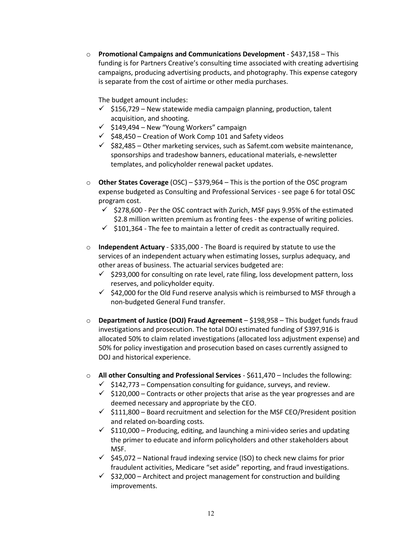o **Promotional Campaigns and Communications Development** - \$437,158 – This funding is for Partners Creative's consulting time associated with creating advertising campaigns, producing advertising products, and photography. This expense category is separate from the cost of airtime or other media purchases.

The budget amount includes:

- $\checkmark$  \$156,729 New statewide media campaign planning, production, talent acquisition, and shooting.
- $\checkmark$  \$149,494 New "Young Workers" campaign
- $\checkmark$  \$48,450 Creation of Work Comp 101 and Safety videos
- $\checkmark$  \$82,485 Other marketing services, such as Safemt.com website maintenance, sponsorships and tradeshow banners, educational materials, e-newsletter templates, and policyholder renewal packet updates.
- o **Other States Coverage** (OSC) \$379,964 This is the portion of the OSC program expense budgeted as Consulting and Professional Services - see page 6 for total OSC program cost.
	- $\checkmark$  \$278,600 Per the OSC contract with Zurich, MSF pays 9.95% of the estimated \$2.8 million written premium as fronting fees - the expense of writing policies.
	- $\checkmark$  \$101,364 The fee to maintain a letter of credit as contractually required.
- o **Independent Actuary** \$335,000 The Board is required by statute to use the services of an independent actuary when estimating losses, surplus adequacy, and other areas of business. The actuarial services budgeted are:
	- $\checkmark$  \$293,000 for consulting on rate level, rate filing, loss development pattern, loss reserves, and policyholder equity.
	- $\checkmark$  \$42,000 for the Old Fund reserve analysis which is reimbursed to MSF through a non-budgeted General Fund transfer.
- o **Department of Justice (DOJ) Fraud Agreement**  \$198,958 This budget funds fraud investigations and prosecution. The total DOJ estimated funding of \$397,916 is allocated 50% to claim related investigations (allocated loss adjustment expense) and 50% for policy investigation and prosecution based on cases currently assigned to DOJ and historical experience.
- o **All other Consulting and Professional Services**  \$611,470 Includes the following:
	- $\checkmark$  \$142,773 Compensation consulting for guidance, surveys, and review.
	- $\checkmark$  \$120,000 Contracts or other projects that arise as the year progresses and are deemed necessary and appropriate by the CEO.
	- $\checkmark$  \$111,800 Board recruitment and selection for the MSF CEO/President position and related on-boarding costs.
	- $\checkmark$  \$110,000 Producing, editing, and launching a mini-video series and updating the primer to educate and inform policyholders and other stakeholders about MSF.
	- $\checkmark$  \$45,072 National fraud indexing service (ISO) to check new claims for prior fraudulent activities, Medicare "set aside" reporting, and fraud investigations.
	- $\checkmark$  \$32,000 Architect and project management for construction and building improvements.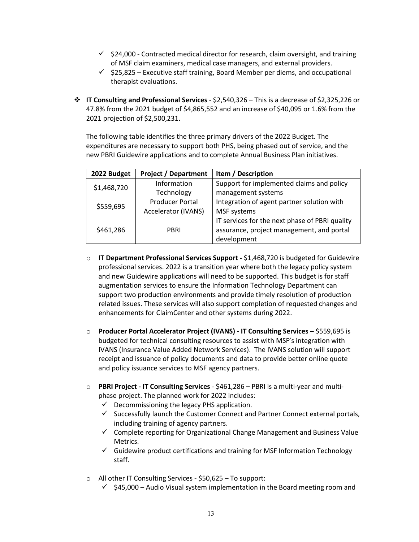- $\checkmark$  \$24,000 Contracted medical director for research, claim oversight, and training of MSF claim examiners, medical case managers, and external providers.
- $\checkmark$  \$25,825 Executive staff training, Board Member per diems, and occupational therapist evaluations.
- **IT Consulting and Professional Services** \$2,540,326 This is a decrease of \$2,325,226 or 47.8% from the 2021 budget of \$4,865,552 and an increase of \$40,095 or 1.6% from the 2021 projection of \$2,500,231.

The following table identifies the three primary drivers of the 2022 Budget. The expenditures are necessary to support both PHS, being phased out of service, and the new PBRI Guidewire applications and to complete Annual Business Plan initiatives.

| 2022 Budget | <b>Project / Department</b> | Item / Description                             |  |  |
|-------------|-----------------------------|------------------------------------------------|--|--|
| \$1,468,720 | Information                 | Support for implemented claims and policy      |  |  |
|             | Technology                  | management systems                             |  |  |
| \$559,695   | <b>Producer Portal</b>      | Integration of agent partner solution with     |  |  |
|             | Accelerator (IVANS)         | MSF systems                                    |  |  |
| \$461,286   |                             | IT services for the next phase of PBRI quality |  |  |
|             | <b>PBRI</b>                 | assurance, project management, and portal      |  |  |
|             |                             | development                                    |  |  |

- o **IT Department Professional Services Support -** \$1,468,720 is budgeted for Guidewire professional services. 2022 is a transition year where both the legacy policy system and new Guidewire applications will need to be supported. This budget is for staff augmentation services to ensure the Information Technology Department can support two production environments and provide timely resolution of production related issues. These services will also support completion of requested changes and enhancements for ClaimCenter and other systems during 2022.
- o **Producer Portal Accelerator Project (IVANS) - IT Consulting Services –** \$559,695 is budgeted for technical consulting resources to assist with MSF's integration with IVANS (Insurance Value Added Network Services). The IVANS solution will support receipt and issuance of policy documents and data to provide better online quote and policy issuance services to MSF agency partners.
- o **PBRI Project - IT Consulting Services**  \$461,286 PBRI is a multi-year and multiphase project. The planned work for 2022 includes:
	- $\checkmark$  Decommissioning the legacy PHS application.
	- $\checkmark$  Successfully launch the Customer Connect and Partner Connect external portals, including training of agency partners.
	- $\checkmark$  Complete reporting for Organizational Change Management and Business Value Metrics.
	- $\checkmark$  Guidewire product certifications and training for MSF Information Technology staff.
- o All other IT Consulting Services \$50,625 To support:
	- $\checkmark$  \$45,000 Audio Visual system implementation in the Board meeting room and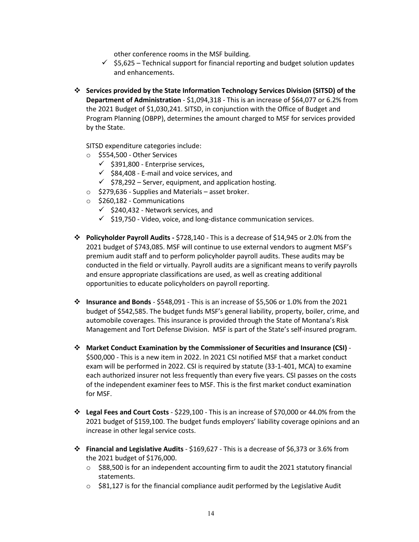other conference rooms in the MSF building.

- $\checkmark$  \$5,625 Technical support for financial reporting and budget solution updates and enhancements.
- **Services provided by the State Information Technology Services Division (SITSD) of the Department of Administration** - \$1,094,318 - This is an increase of \$64,077 or 6.2% from the 2021 Budget of \$1,030,241. SITSD, in conjunction with the Office of Budget and Program Planning (OBPP), determines the amount charged to MSF for services provided by the State.

SITSD expenditure categories include:

- o \$554,500 Other Services
	- $\checkmark$  \$391,800 Enterprise services,
	- $\checkmark$  \$84,408 E-mail and voice services, and
	- $\checkmark$  \$78,292 Server, equipment, and application hosting.
- o \$279,636 Supplies and Materials asset broker.
- o \$260,182 Communications
	- $\checkmark$  \$240,432 Network services, and
	- $\checkmark$  \$19,750 Video, voice, and long-distance communication services.
- **Policyholder Payroll Audits -** \$728,140 This is a decrease of \$14,945 or 2.0% from the 2021 budget of \$743,085. MSF will continue to use external vendors to augment MSF's premium audit staff and to perform policyholder payroll audits. These audits may be conducted in the field or virtually. Payroll audits are a significant means to verify payrolls and ensure appropriate classifications are used, as well as creating additional opportunities to educate policyholders on payroll reporting.
- **Insurance and Bonds** \$548,091 This is an increase of \$5,506 or 1.0% from the 2021 budget of \$542,585. The budget funds MSF's general liability, property, boiler, crime, and automobile coverages. This insurance is provided through the State of Montana's Risk Management and Tort Defense Division. MSF is part of the State's self-insured program.
- **Market Conduct Examination by the Commissioner of Securities and Insurance (CSI)**  \$500,000 - This is a new item in 2022. In 2021 CSI notified MSF that a market conduct exam will be performed in 2022. CSI is required by statute (33-1-401, MCA) to examine each authorized insurer not less frequently than every five years. CSI passes on the costs of the independent examiner fees to MSF. This is the first market conduct examination for MSF.
- **Legal Fees and Court Costs** \$229,100 This is an increase of \$70,000 or 44.0% from the 2021 budget of \$159,100. The budget funds employers' liability coverage opinions and an increase in other legal service costs.
- **Financial and Legislative Audits**  \$169,627 This is a decrease of \$6,373 or 3.6% from the 2021 budget of \$176,000.
	- $\circ$  \$88,500 is for an independent accounting firm to audit the 2021 statutory financial statements.
	- $\circ$  \$81,127 is for the financial compliance audit performed by the Legislative Audit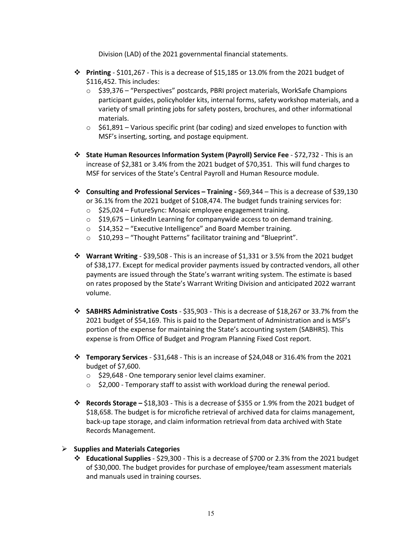Division (LAD) of the 2021 governmental financial statements.

- **Printing**  \$101,267 This is a decrease of \$15,185 or 13.0% from the 2021 budget of \$116,452. This includes:
	- o \$39,376 "Perspectives" postcards, PBRI project materials, WorkSafe Champions participant guides, policyholder kits, internal forms, safety workshop materials, and a variety of small printing jobs for safety posters, brochures, and other informational materials.
	- $\circ$  \$61,891 Various specific print (bar coding) and sized envelopes to function with MSF's inserting, sorting, and postage equipment.
- **State Human Resources Information System (Payroll) Service Fee**  \$72,732 This is an increase of \$2,381 or 3.4% from the 2021 budget of \$70,351. This will fund charges to MSF for services of the State's Central Payroll and Human Resource module.
- **Consulting and Professional Services – Training -** \$69,344 This is a decrease of \$39,130 or 36.1% from the 2021 budget of \$108,474. The budget funds training services for:
	- o \$25,024 FutureSync: Mosaic employee engagement training.
	- $\circ$  \$19,675 LinkedIn Learning for companywide access to on demand training.
	- o \$14,352 "Executive Intelligence" and Board Member training.
	- o \$10,293 "Thought Patterns" facilitator training and "Blueprint".
- **Warrant Writing** \$39,508 This is an increase of \$1,331 or 3.5% from the 2021 budget of \$38,177. Except for medical provider payments issued by contracted vendors, all other payments are issued through the State's warrant writing system. The estimate is based on rates proposed by the State's Warrant Writing Division and anticipated 2022 warrant volume.
- **SABHRS Administrative Costs** \$35,903 This is a decrease of \$18,267 or 33.7% from the 2021 budget of \$54,169. This is paid to the Department of Administration and is MSF's portion of the expense for maintaining the State's accounting system (SABHRS). This expense is from Office of Budget and Program Planning Fixed Cost report.
- **Temporary Services** \$31,648 This is an increase of \$24,048 or 316.4% from the 2021 budget of \$7,600.
	- o \$29,648 One temporary senior level claims examiner.
	- $\circ$  \$2,000 Temporary staff to assist with workload during the renewal period.
- **Records Storage –** \$18,303 This is a decrease of \$355 or 1.9% from the 2021 budget of \$18,658. The budget is for microfiche retrieval of archived data for claims management, back-up tape storage, and claim information retrieval from data archived with State Records Management.

### **Supplies and Materials Categories**

 **Educational Supplies** - \$29,300 - This is a decrease of \$700 or 2.3% from the 2021 budget of \$30,000. The budget provides for purchase of employee/team assessment materials and manuals used in training courses.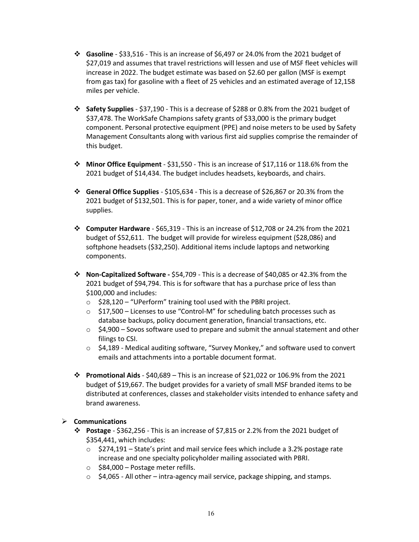- **Gasoline** \$33,516 This is an increase of \$6,497 or 24.0% from the 2021 budget of \$27,019 and assumes that travel restrictions will lessen and use of MSF fleet vehicles will increase in 2022. The budget estimate was based on \$2.60 per gallon (MSF is exempt from gas tax) for gasoline with a fleet of 25 vehicles and an estimated average of 12,158 miles per vehicle.
- **Safety Supplies** \$37,190 This is a decrease of \$288 or 0.8% from the 2021 budget of \$37,478. The WorkSafe Champions safety grants of \$33,000 is the primary budget component. Personal protective equipment (PPE) and noise meters to be used by Safety Management Consultants along with various first aid supplies comprise the remainder of this budget.
- **Minor Office Equipment** \$31,550 This is an increase of \$17,116 or 118.6% from the 2021 budget of \$14,434. The budget includes headsets, keyboards, and chairs.
- **General Office Supplies** \$105,634 This is a decrease of \$26,867 or 20.3% from the 2021 budget of \$132,501. This is for paper, toner, and a wide variety of minor office supplies.
- **Computer Hardware** \$65,319 This is an increase of \$12,708 or 24.2% from the 2021 budget of \$52,611. The budget will provide for wireless equipment (\$28,086) and softphone headsets (\$32,250). Additional items include laptops and networking components.
- **Non-Capitalized Software -** \$54,709 This is a decrease of \$40,085 or 42.3% from the 2021 budget of \$94,794. This is for software that has a purchase price of less than \$100,000 and includes:
	- o \$28,120 "UPerform" training tool used with the PBRI project.
	- o \$17,500 Licenses to use "Control-M" for scheduling batch processes such as database backups, policy document generation, financial transactions, etc.
	- $\circ$  \$4,900 Sovos software used to prepare and submit the annual statement and other filings to CSI.
	- $\circ$  \$4,189 Medical auditing software, "Survey Monkey," and software used to convert emails and attachments into a portable document format.
- **Promotional Aids** \$40,689 This is an increase of \$21,022 or 106.9% from the 2021 budget of \$19,667. The budget provides for a variety of small MSF branded items to be distributed at conferences, classes and stakeholder visits intended to enhance safety and brand awareness.

### **Communications**

- **Postage** \$362,256 This is an increase of \$7,815 or 2.2% from the 2021 budget of \$354,441, which includes:
	- $\circ$  \$274,191 State's print and mail service fees which include a 3.2% postage rate increase and one specialty policyholder mailing associated with PBRI.
	- $\circ$  \$84,000 Postage meter refills.
	- o \$4,065 All other intra-agency mail service, package shipping, and stamps.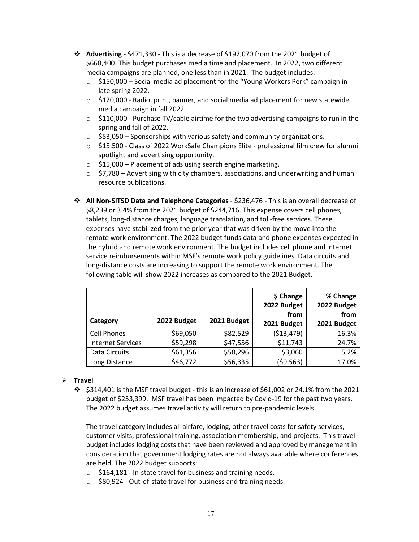- **Advertising** \$471,330 This is a decrease of \$197,070 from the 2021 budget of \$668,400. This budget purchases media time and placement. In 2022, two different media campaigns are planned, one less than in 2021. The budget includes:
	- $\circ$  \$150,000 Social media ad placement for the "Young Workers Perk" campaign in late spring 2022.
	- o \$120,000 Radio, print, banner, and social media ad placement for new statewide media campaign in fall 2022.
	- $\circ$  \$110,000 Purchase TV/cable airtime for the two advertising campaigns to run in the spring and fall of 2022.
	- $\circ$  \$53,050 Sponsorships with various safety and community organizations.
	- $\circ$  \$15,500 Class of 2022 WorkSafe Champions Elite professional film crew for alumni spotlight and advertising opportunity.
	- $\circ$  \$15,000 Placement of ads using search engine marketing.
	- $\circ$  \$7,780 Advertising with city chambers, associations, and underwriting and human resource publications.
- **All Non-SITSD Data and Telephone Categories** \$236,476 This is an overall decrease of \$8,239 or 3.4% from the 2021 budget of \$244,716. This expense covers cell phones, tablets, long-distance charges, language translation, and toll-free services. These expenses have stabilized from the prior year that was driven by the move into the remote work environment. The 2022 budget funds data and phone expenses expected in the hybrid and remote work environment. The budget includes cell phone and internet service reimbursements within MSF's remote work policy guidelines. Data circuits and long-distance costs are increasing to support the remote work environment. The following table will show 2022 increases as compared to the 2021 Budget.

| Category                 | 2022 Budget | 2021 Budget | \$ Change<br>2022 Budget<br>from<br>2021 Budget | % Change<br>2022 Budget<br>from<br>2021 Budget |
|--------------------------|-------------|-------------|-------------------------------------------------|------------------------------------------------|
| <b>Cell Phones</b>       | \$69,050    | \$82,529    | (\$13,479)                                      | $-16.3%$                                       |
| <b>Internet Services</b> | \$59,298    | \$47,556    | \$11,743                                        | 24.7%                                          |
| Data Circuits            | \$61,356    | \$58,296    | \$3,060                                         | 5.2%                                           |
| Long Distance            | \$46,772    | \$56,335    | (59, 563)                                       | 17.0%                                          |

# **Travel**

 $\div$  \$314,401 is the MSF travel budget - this is an increase of \$61,002 or 24.1% from the 2021 budget of \$253,399. MSF travel has been impacted by Covid-19 for the past two years. The 2022 budget assumes travel activity will return to pre-pandemic levels.

The travel category includes all airfare, lodging, other travel costs for safety services, customer visits, professional training, association membership, and projects. This travel budget includes lodging costs that have been reviewed and approved by management in consideration that government lodging rates are not always available where conferences are held. The 2022 budget supports:

- o \$164,181 In-state travel for business and training needs.
- o \$80,924 Out-of-state travel for business and training needs.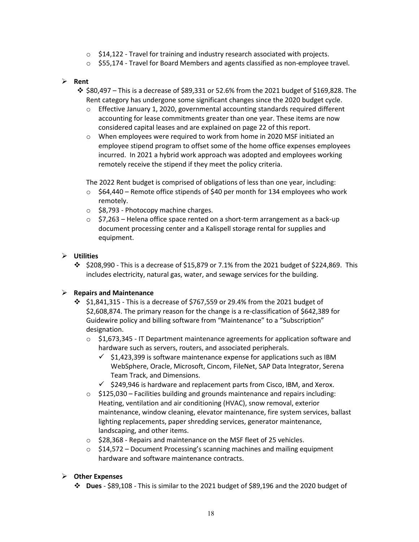- $\circ$  \$14,122 Travel for training and industry research associated with projects.
- o \$55,174 Travel for Board Members and agents classified as non-employee travel.

#### **Rent**

- $*$  \$80,497 This is a decrease of \$89,331 or 52.6% from the 2021 budget of \$169,828. The Rent category has undergone some significant changes since the 2020 budget cycle.
	- $\circ$  Effective January 1, 2020, governmental accounting standards required different accounting for lease commitments greater than one year. These items are now considered capital leases and are explained on page 22 of this report.
	- o When employees were required to work from home in 2020 MSF initiated an employee stipend program to offset some of the home office expenses employees incurred. In 2021 a hybrid work approach was adopted and employees working remotely receive the stipend if they meet the policy criteria.

The 2022 Rent budget is comprised of obligations of less than one year, including:

- $\circ$  \$64,440 Remote office stipends of \$40 per month for 134 employees who work remotely.
- o \$8,793 Photocopy machine charges.
- $\circ$  \$7,263 Helena office space rented on a short-term arrangement as a back-up document processing center and a Kalispell storage rental for supplies and equipment.

### **Utilities**

 $\div$  \$208,990 - This is a decrease of \$15,879 or 7.1% from the 2021 budget of \$224,869. This includes electricity, natural gas, water, and sewage services for the building.

### **Repairs and Maintenance**

- $\div$  \$1,841,315 This is a decrease of \$767,559 or 29.4% from the 2021 budget of \$2,608,874. The primary reason for the change is a re-classification of \$642,389 for Guidewire policy and billing software from "Maintenance" to a "Subscription" designation.
	- $\circ$  \$1,673,345 IT Department maintenance agreements for application software and hardware such as servers, routers, and associated peripherals.
		- $\checkmark$  \$1,423,399 is software maintenance expense for applications such as IBM WebSphere, Oracle, Microsoft, Cincom, FileNet, SAP Data Integrator, Serena Team Track, and Dimensions.
		- $\checkmark$  \$249,946 is hardware and replacement parts from Cisco, IBM, and Xerox.
	- $\circ$  \$125,030 Facilities building and grounds maintenance and repairs including: Heating, ventilation and air conditioning (HVAC), snow removal, exterior maintenance, window cleaning, elevator maintenance, fire system services, ballast lighting replacements, paper shredding services, generator maintenance, landscaping, and other items.
	- o \$28,368 Repairs and maintenance on the MSF fleet of 25 vehicles.
	- $\circ$  \$14,572 Document Processing's scanning machines and mailing equipment hardware and software maintenance contracts.

### **Other Expenses**

**Dues** - \$89,108 - This is similar to the 2021 budget of \$89,196 and the 2020 budget of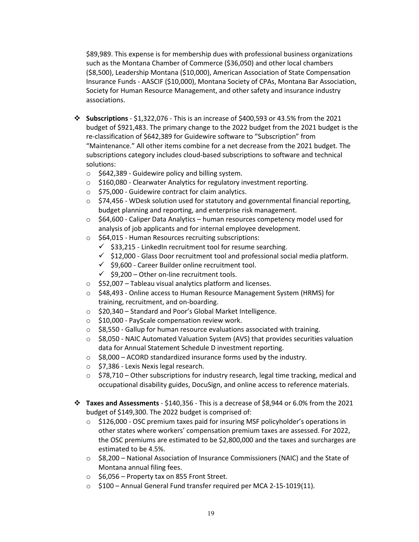\$89,989. This expense is for membership dues with professional business organizations such as the Montana Chamber of Commerce (\$36,050) and other local chambers (\$8,500), Leadership Montana (\$10,000), American Association of State Compensation Insurance Funds - AASCIF (\$10,000), Montana Society of CPAs, Montana Bar Association, Society for Human Resource Management, and other safety and insurance industry associations.

- **Subscriptions** \$1,322,076 This is an increase of \$400,593 or 43.5% from the 2021 budget of \$921,483. The primary change to the 2022 budget from the 2021 budget is the re-classification of \$642,389 for Guidewire software to "Subscription" from "Maintenance." All other items combine for a net decrease from the 2021 budget. The subscriptions category includes cloud-based subscriptions to software and technical solutions:
	- $\circ$  \$642,389 Guidewire policy and billing system.
	- o \$160,080 Clearwater Analytics for regulatory investment reporting.
	- o \$75,000 Guidewire contract for claim analytics.
	- $\circ$  \$74,456 WDesk solution used for statutory and governmental financial reporting, budget planning and reporting, and enterprise risk management.
	- $\circ$  \$64,600 Caliper Data Analytics human resources competency model used for analysis of job applicants and for internal employee development.
	- o \$64,015 Human Resources recruiting subscriptions:
		- $\checkmark$  \$33,215 LinkedIn recruitment tool for resume searching.
		- $\checkmark$  \$12,000 Glass Door recruitment tool and professional social media platform.
		- $\checkmark$  \$9,600 Career Builder online recruitment tool.
		- $\checkmark$  \$9,200 Other on-line recruitment tools.
	- o \$52,007 Tableau visual analytics platform and licenses.
	- o \$48,493 Online access to Human Resource Management System (HRMS) for training, recruitment, and on-boarding.
	- o \$20,340 Standard and Poor's Global Market Intelligence.
	- o \$10,000 PayScale compensation review work.
	- $\circ$  \$8,550 Gallup for human resource evaluations associated with training.
	- $\circ$  \$8,050 NAIC Automated Valuation System (AVS) that provides securities valuation data for Annual Statement Schedule D investment reporting.
	- $\circ$  \$8,000 ACORD standardized insurance forms used by the industry.
	- o \$7,386 Lexis Nexis legal research.
	- $\circ$  \$78,710 Other subscriptions for industry research, legal time tracking, medical and occupational disability guides, DocuSign, and online access to reference materials.
- **Taxes and Assessments** \$140,356 This is a decrease of \$8,944 or 6.0% from the 2021 budget of \$149,300. The 2022 budget is comprised of:
	- o \$126,000 OSC premium taxes paid for insuring MSF policyholder's operations in other states where workers' compensation premium taxes are assessed. For 2022, the OSC premiums are estimated to be \$2,800,000 and the taxes and surcharges are estimated to be 4.5%.
	- $\circ$  \$8,200 National Association of Insurance Commissioners (NAIC) and the State of Montana annual filing fees.
	- $\circ$  \$6,056 Property tax on 855 Front Street.
	- o \$100 Annual General Fund transfer required per MCA 2-15-1019(11).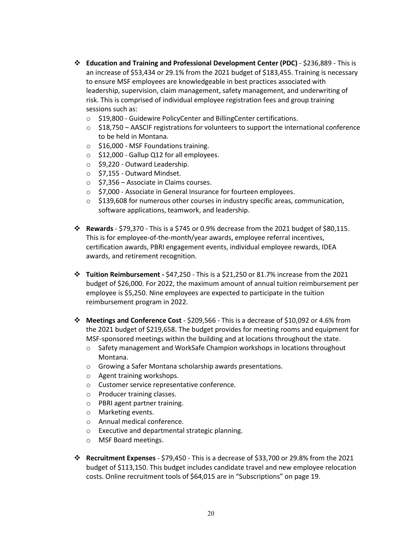- **Education and Training and Professional Development Center (PDC)** \$236,889 This is an increase of \$53,434 or 29.1% from the 2021 budget of \$183,455. Training is necessary to ensure MSF employees are knowledgeable in best practices associated with leadership, supervision, claim management, safety management, and underwriting of risk. This is comprised of individual employee registration fees and group training sessions such as:
	- o \$19,800 Guidewire PolicyCenter and BillingCenter certifications.
	- o \$18,750 AASCIF registrations for volunteers to support the international conference to be held in Montana.
	- o \$16,000 MSF Foundations training.
	- $\circ$  \$12,000 Gallup Q12 for all employees.
	- o \$9,220 Outward Leadership.
	- o \$7,155 Outward Mindset.
	- $\circ$  \$7,356 Associate in Claims courses.
	- o \$7,000 Associate in General Insurance for fourteen employees.
	- $\circ$  \$139,608 for numerous other courses in industry specific areas, communication, software applications, teamwork, and leadership.
- **Rewards**  \$79,370 This is a \$745 or 0.9% decrease from the 2021 budget of \$80,115. This is for employee-of-the-month/year awards, employee referral incentives, certification awards, PBRI engagement events, individual employee rewards, IDEA awards, and retirement recognition.
- **Tuition Reimbursement -** \$47,250 This is a \$21,250 or 81.7% increase from the 2021 budget of \$26,000. For 2022, the maximum amount of annual tuition reimbursement per employee is \$5,250. Nine employees are expected to participate in the tuition reimbursement program in 2022.
- **Meetings and Conference Cost** \$209,566 This is a decrease of \$10,092 or 4.6% from the 2021 budget of \$219,658. The budget provides for meeting rooms and equipment for MSF-sponsored meetings within the building and at locations throughout the state.
	- $\circ$  Safety management and WorkSafe Champion workshops in locations throughout Montana.
	- o Growing a Safer Montana scholarship awards presentations.
	- o Agent training workshops.
	- o Customer service representative conference.
	- o Producer training classes.
	- o PBRI agent partner training.
	- o Marketing events.
	- o Annual medical conference.
	- o Executive and departmental strategic planning.
	- o MSF Board meetings.
- **Recruitment Expenses** \$79,450 This is a decrease of \$33,700 or 29.8% from the 2021 budget of \$113,150. This budget includes candidate travel and new employee relocation costs. Online recruitment tools of \$64,015 are in "Subscriptions" on page 19.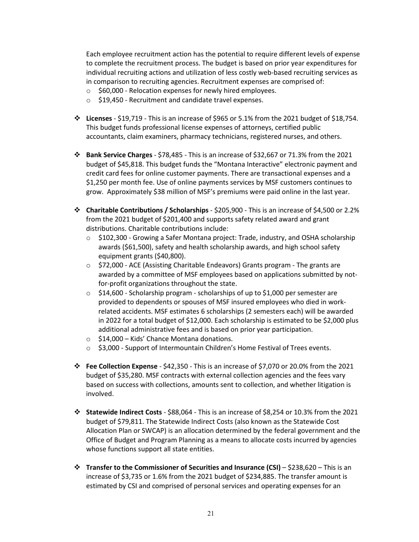Each employee recruitment action has the potential to require different levels of expense to complete the recruitment process. The budget is based on prior year expenditures for individual recruiting actions and utilization of less costly web-based recruiting services as in comparison to recruiting agencies. Recruitment expenses are comprised of:

- o \$60,000 Relocation expenses for newly hired employees.
- o \$19,450 Recruitment and candidate travel expenses.
- **Licenses** \$19,719 This is an increase of \$965 or 5.1% from the 2021 budget of \$18,754. This budget funds professional license expenses of attorneys, certified public accountants, claim examiners, pharmacy technicians, registered nurses, and others.
- **Bank Service Charges**  \$78,485 This is an increase of \$32,667 or 71.3% from the 2021 budget of \$45,818. This budget funds the "Montana Interactive" electronic payment and credit card fees for online customer payments. There are transactional expenses and a \$1,250 per month fee. Use of online payments services by MSF customers continues to grow. Approximately \$38 million of MSF's premiums were paid online in the last year.
- **Charitable Contributions / Scholarships** \$205,900 This is an increase of \$4,500 or 2.2% from the 2021 budget of \$201,400 and supports safety related award and grant distributions. Charitable contributions include:
	- $\circ$  \$102,300 Growing a Safer Montana project: Trade, industry, and OSHA scholarship awards (\$61,500), safety and health scholarship awards, and high school safety equipment grants (\$40,800).
	- o \$72,000 ACE (Assisting Charitable Endeavors) Grants program The grants are awarded by a committee of MSF employees based on applications submitted by notfor-profit organizations throughout the state.
	- o \$14,600 Scholarship program scholarships of up to \$1,000 per semester are provided to dependents or spouses of MSF insured employees who died in workrelated accidents. MSF estimates 6 scholarships (2 semesters each) will be awarded in 2022 for a total budget of \$12,000. Each scholarship is estimated to be \$2,000 plus additional administrative fees and is based on prior year participation.
	- $\circ$  \$14,000 Kids' Chance Montana donations.
	- $\circ$  \$3,000 Support of Intermountain Children's Home Festival of Trees events.
- **Fee Collection Expense** \$42,350 This is an increase of \$7,070 or 20.0% from the 2021 budget of \$35,280. MSF contracts with external collection agencies and the fees vary based on success with collections, amounts sent to collection, and whether litigation is involved.
- **Statewide Indirect Costs** \$88,064 This is an increase of \$8,254 or 10.3% from the 2021 budget of \$79,811. The Statewide Indirect Costs (also known as the Statewide Cost Allocation Plan or SWCAP) is an allocation determined by the federal government and the Office of Budget and Program Planning as a means to allocate costs incurred by agencies whose functions support all state entities.
- **❖** Transfer to the Commissioner of Securities and Insurance (CSI) \$238,620 This is an increase of \$3,735 or 1.6% from the 2021 budget of \$234,885. The transfer amount is estimated by CSI and comprised of personal services and operating expenses for an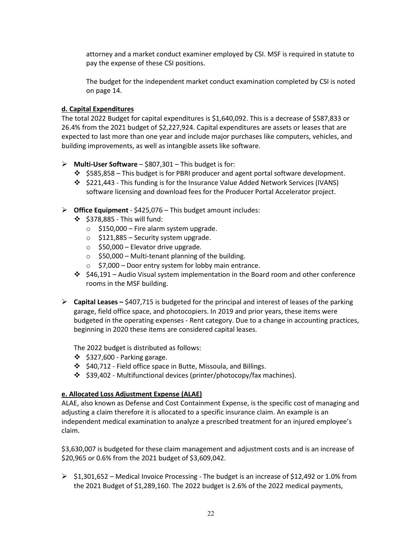attorney and a market conduct examiner employed by CSI. MSF is required in statute to pay the expense of these CSI positions.

The budget for the independent market conduct examination completed by CSI is noted on page 14.

### **d. Capital Expenditures**

The total 2022 Budget for capital expenditures is \$1,640,092. This is a decrease of \$587,833 or 26.4% from the 2021 budget of \$2,227,924. Capital expenditures are assets or leases that are expected to last more than one year and include major purchases like computers, vehicles, and building improvements, as well as intangible assets like software.

- **Multi-User Software** \$807,301 This budget is for:
	- $\div$  \$585,858 This budget is for PBRI producer and agent portal software development.
	- \$221,443 This funding is for the Insurance Value Added Network Services (IVANS) software licensing and download fees for the Producer Portal Accelerator project.
- **Office Equipment** \$425,076 This budget amount includes:
	- $\cdot$  \$378,885 This will fund:
		- $\circ$  \$150,000 Fire alarm system upgrade.
		- $\circ$  \$121,885 Security system upgrade.
		- $\circ$  \$50,000 Elevator drive upgrade.
		- $\circ$  \$50,000 Multi-tenant planning of the building.
		- $\circ$  \$7,000 Door entry system for lobby main entrance.
	- $\div$  \$46,191 Audio Visual system implementation in the Board room and other conference rooms in the MSF building.
- **Capital Leases –** \$407,715 is budgeted for the principal and interest of leases of the parking garage, field office space, and photocopiers. In 2019 and prior years, these items were budgeted in the operating expenses - Rent category. Due to a change in accounting practices, beginning in 2020 these items are considered capital leases.

The 2022 budget is distributed as follows:

- $\div$  \$327,600 Parking garage.
- \$40,712 Field office space in Butte, Missoula, and Billings.
- \$39,402 Multifunctional devices (printer/photocopy/fax machines).

### **e. Allocated Loss Adjustment Expense (ALAE)**

ALAE, also known as Defense and Cost Containment Expense, is the specific cost of managing and adjusting a claim therefore it is allocated to a specific insurance claim. An example is an independent medical examination to analyze a prescribed treatment for an injured employee's claim.

\$3,630,007 is budgeted for these claim management and adjustment costs and is an increase of \$20,965 or 0.6% from the 2021 budget of \$3,609,042.

 $\triangleright$  \$1,301,652 – Medical Invoice Processing - The budget is an increase of \$12,492 or 1.0% from the 2021 Budget of \$1,289,160. The 2022 budget is 2.6% of the 2022 medical payments,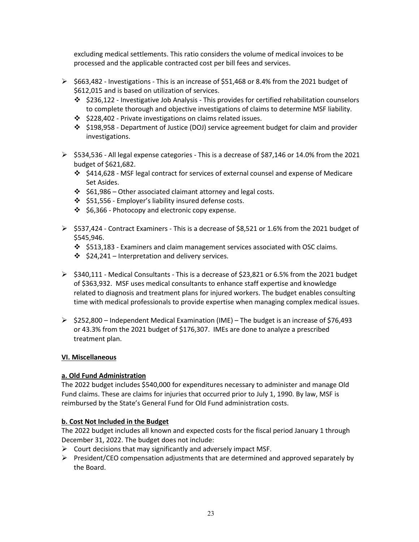excluding medical settlements. This ratio considers the volume of medical invoices to be processed and the applicable contracted cost per bill fees and services.

- $\triangleright$  \$663,482 Investigations This is an increase of \$51,468 or 8.4% from the 2021 budget of \$612,015 and is based on utilization of services.
	- $\div$  \$236,122 Investigative Job Analysis This provides for certified rehabilitation counselors to complete thorough and objective investigations of claims to determine MSF liability.
	- ❖ \$228,402 Private investigations on claims related issues.
	- \$198,958 Department of Justice (DOJ) service agreement budget for claim and provider investigations.
- $\triangleright$  \$534,536 All legal expense categories This is a decrease of \$87,146 or 14.0% from the 2021 budget of \$621,682.
	- $\div$  \$414,628 MSF legal contract for services of external counsel and expense of Medicare Set Asides.
	- $\div$  \$61,986 Other associated claimant attorney and legal costs.
	- \$51,556 Employer's liability insured defense costs.
	- $\div$  \$6,366 Photocopy and electronic copy expense.
- $\triangleright$  \$537,424 Contract Examiners This is a decrease of \$8,521 or 1.6% from the 2021 budget of \$545,946.
	- $\div$  \$513,183 Examiners and claim management services associated with OSC claims.
	- $\div$  \$24,241 Interpretation and delivery services.
- $\geq$  \$340,111 Medical Consultants This is a decrease of \$23,821 or 6.5% from the 2021 budget of \$363,932. MSF uses medical consultants to enhance staff expertise and knowledge related to diagnosis and treatment plans for injured workers. The budget enables consulting time with medical professionals to provide expertise when managing complex medical issues.
- $\triangleright$  \$252,800 Independent Medical Examination (IME) The budget is an increase of \$76,493 or 43.3% from the 2021 budget of \$176,307. IMEs are done to analyze a prescribed treatment plan.

### **VI. Miscellaneous**

### **a. Old Fund Administration**

The 2022 budget includes \$540,000 for expenditures necessary to administer and manage Old Fund claims. These are claims for injuries that occurred prior to July 1, 1990. By law, MSF is reimbursed by the State's General Fund for Old Fund administration costs.

### **b. Cost Not Included in the Budget**

The 2022 budget includes all known and expected costs for the fiscal period January 1 through December 31, 2022. The budget does not include:

- $\triangleright$  Court decisions that may significantly and adversely impact MSF.
- $\triangleright$  President/CEO compensation adjustments that are determined and approved separately by the Board.